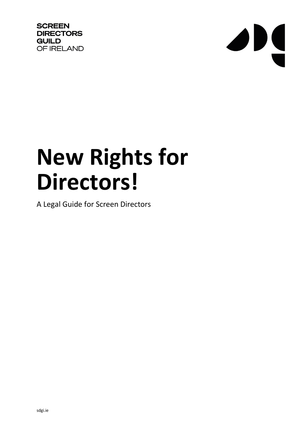**SCREEN DIRECTORS GUILD** OF IRELAND



# **New Rights for Directors!**

A Legal Guide for Screen Directors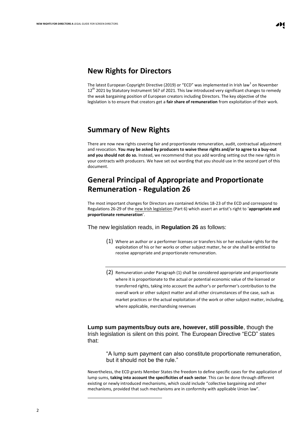#### **New Rights for Directors**

The latest European Copyright Directive (2019) or "ECD" was implemented in Irish law<sup>1</sup> on November 12<sup>th</sup> 2021 by Statutory Instrument 567 of 2021. This law introduced very significant changes to remedy the weak bargaining position of European creators including Directors. The key objective of the legislation is to ensure that creators get a **fair share of remuneration** from exploitation of their work.

### **Summary of New Rights**

There are now new rights covering fair and proportionate remuneration, audit, contractual adjustment and revocation. **You may be asked by producers to waive these rights and/or to agree to a buy-out and you should not do so.** Instead, we recommend that you add wording setting out the new rights in your contracts with producers. We have set out wording that you should use in the second part of this document.

## **General Principal of Appropriate and Proportionate Remuneration - Regulation 26**

The most important changes for Directors are contained Articles 18-23 of the ECD and correspond to Regulations 26-29 of th[e new Irish legislation](https://www.irishstatutebook.ie/eli/2021/si/567/made/en/print) (Part 6) which assert an artist's right to '**appropriate and proportionate remuneration**'.

The new legislation reads, in **Regulation 26** as follows:

- (1) Where an author or a performer licenses or transfers his or her exclusive rights for the exploitation of his or her works or other subject matter, he or she shall be entitled to receive appropriate and proportionate remuneration.
- (2) Remuneration under Paragraph (1) shall be considered appropriate and proportionate where it is proportionate to the actual or potential economic value of the licensed or transferred rights, taking into account the author's or performer's contribution to the overall work or other subject matter and all other circumstances of the case, such as market practices or the actual exploitation of the work or other subject matter, including, where applicable, merchandising revenues

**Lump sum payments/buy outs are, however, still possible**, though the Irish legislation is silent on this point. The European Directive "ECD" states that:

"A lump sum payment can also constitute proportionate remuneration, but it should not be the rule."

Nevertheless, the ECD grants Member States the freedom to define specific cases for the application of lump sums, **taking into account the specificities of each sector**. This can be done through different existing or newly introduced mechanisms, which could include "collective bargaining and other mechanisms, provided that such mechanisms are in conformity with applicable Union law".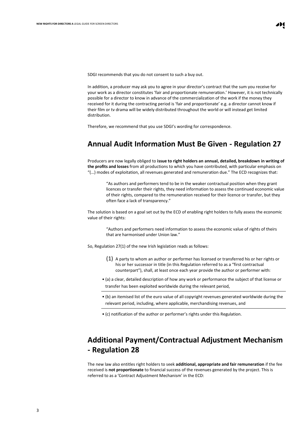SDGI recommends that you do not consent to such a buy out.

In addition, a producer may ask you to agree in your director's contract that the sum you receive for your work as a director constitutes 'fair and proportionate remuneration.' However, it is not technically possible for a director to know in advance of the commercialization of the work if the money they received for it during the contracting period is 'fair and proportionate' e.g. a director cannot know if their film or tv drama will be widely distributed throughout the world or will instead get limited distribution.

Therefore, we recommend that you use SDGI's wording for correspondence.

### **Annual Audit Information Must Be Given - Regulation 27**

Producers are now legally obliged to **issue to right holders an annual, detailed, breakdown in writing of the profits and losses** from all productions to which you have contributed, with particular emphasis on "(…) modes of exploitation, all revenues generated and remuneration due." The ECD recognizes that:

"As authors and performers tend to be in the weaker contractual position when they grant licences or transfer their rights, they need information to assess the continued economic value of their rights, compared to the remuneration received for their licence or transfer, but they often face a lack of transparency."

The solution is based on a goal set out by the ECD of enabling right holders to fully assess the economic value of their rights:

"Authors and performers need information to assess the economic value of rights of theirs that are harmonised under Union law."

So, Regulation 27(1) of the new Irish legislation reads as follows:

- (1) A party to whom an author or performer has licensed or transferred his or her rights or his or her successor in title (in this Regulation referred to as a "first contractual counterpart"), shall, at least once each year provide the author or performer with:
- (a) a clear, detailed description of how any work or performance the subject of that license or transfer has been exploited worldwide during the relevant period,
- (b) an itemised list of the euro value of all copyright revenues generated worldwide during the relevant period, including, where applicable, merchandising revenues, and

• (c) notification of the author or performer's rights under this Regulation.

# **Additional Payment/Contractual Adjustment Mechanism - Regulation 28**

The new law also entitles right holders to seek **additional, appropriate and fair remuneration** if the fee received is **not proportionate** to financial success of the revenues generated by the project. This is referred to as a 'Contract Adjustment Mechanism' in the ECD: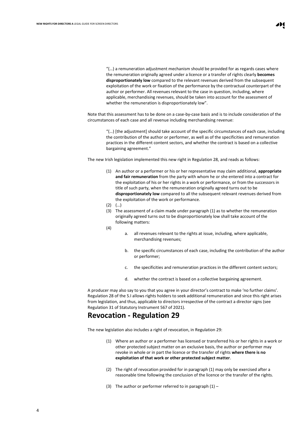"(…) a remuneration adjustment mechanism should be provided for as regards cases where the remuneration originally agreed under a licence or a transfer of rights clearly **becomes disproportionately low** compared to the relevant revenues derived from the subsequent exploitation of the work or fixation of the performance by the contractual counterpart of the author or performer. All revenues relevant to the case in question, including, where applicable, merchandising revenues, should be taken into account for the assessment of whether the remuneration is disproportionately low".

Note that this assessment has to be done on a case-by-case basis and is to include consideration of the circumstances of each case and all revenue including merchandising revenue:

"(…) [the adjustment] should take account of the specific circumstances of each case, including the contribution of the author or performer, as well as of the specificities and remuneration practices in the different content sectors, and whether the contract is based on a collective bargaining agreement."

The new Irish legislation implemented this new right in Regulation 28, and reads as follows:

- (1) An author or a performer or his or her representative may claim additional, **appropriate and fair remuneration** from the party with whom he or she entered into a contract for the exploitation of his or her rights in a work or performance, or from the successors in title of such party, when the remuneration originally agreed turns out to be **disproportionately low** compared to all the subsequent relevant revenues derived from the exploitation of the work or performance.
- $(2)$   $(...)$
- (3) The assessment of a claim made under paragraph (1) as to whether the remuneration originally agreed turns out to be disproportionately low shall take account of the following matters:
- (4)
- a. all revenues relevant to the rights at issue, including, where applicable, merchandising revenues;
	- b. the specific circumstances of each case, including the contribution of the author or performer;
	- c. the specificities and remuneration practices in the different content sectors;
	- d. whether the contract is based on a collective bargaining agreement.

A producer may also say to you that you agree in your director's contract to make 'no further claims'. Regulation 28 of the S.I allows rights holders to seek additional remuneration and since this right arises from legislation, and thus, applicable to directors irrespective of the contract a director signs (see Regulation 31 of Statutory Instrument 567 of 2021).

#### **Revocation - Regulation 29**

The new legislation also includes a right of revocation, in Regulation 29:

- (1) Where an author or a performer has licensed or transferred his or her rights in a work or other protected subject matter on an exclusive basis, the author or performer may revoke in whole or in part the licence or the transfer of rights **where there is no exploitation of that work or other protected subject matter**.
- (2) The right of revocation provided for in paragraph (1) may only be exercised after a reasonable time following the conclusion of the licence or the transfer of the rights.
- (3) The author or performer referred to in paragraph  $(1)$  –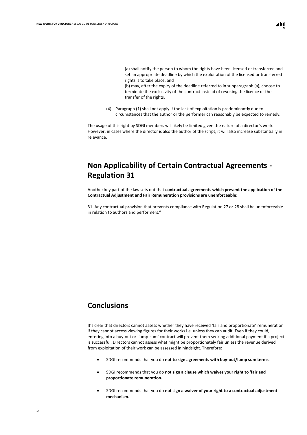(a) shall notify the person to whom the rights have been licensed or transferred and set an appropriate deadline by which the exploitation of the licensed or transferred rights is to take place, and

(b) may, after the expiry of the deadline referred to in subparagraph (a), choose to terminate the exclusivity of the contract instead of revoking the licence or the transfer of the rights.

(4) Paragraph (1) shall not apply if the lack of exploitation is predominantly due to circumstances that the author or the performer can reasonably be expected to remedy.

The usage of this right by SDGI members will likely be limited given the nature of a director's work. However, in cases where the director is also the author of the script, it will also increase substantially in relevance.

# **Non Applicability of Certain Contractual Agreements - Regulation 31**

Another key part of the law sets out that **contractual agreements which prevent the application of the Contractual Adjustment and Fair Remuneration provisions are unenforceable:** 

31. Any contractual provision that prevents compliance with Regulation 27 or 28 shall be unenforceable in relation to authors and performers."

## **Conclusions**

It's clear that directors cannot assess whether they have received 'fair and proportionate' remuneration if they cannot access viewing figures for their works i.e. unless they can audit. Even if they could, entering into a buy-out or 'lump-sum' contract will prevent them seeking additional payment if a project is successful. Directors cannot assess what might be proportionately fair unless the revenue derived from exploitation of their work can be assessed in hindsight. Therefore:

- SDGI recommends that you do **not to sign agreements with buy-out/lump sum terms**.
- SDGI recommends that you do **not sign a clause which waives your right to 'fair and proportionate remuneration.**
- SDGI recommends that you do **not sign a waiver of your right to a contractual adjustment mechanism.**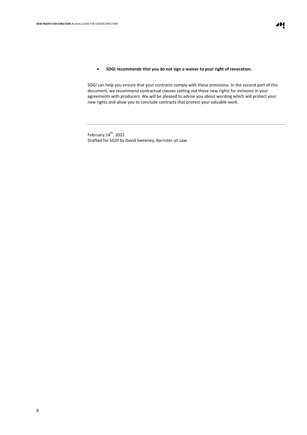#### • **SDGI recommends that you do not sign a waiver to your right of revocation.**

SDGI can help you ensure that your contracts comply with these provisions. In the second part of this document, we recommend contractual clauses setting out these new rights for inclusion in your agreements with producers. We will be pleased to advise you about wording which will protect your new rights and allow you to conclude contracts that protect your valuable work.

February 14<sup>th</sup>, 2022 Drafted for SGDI by David Sweeney, Barrister-at-Law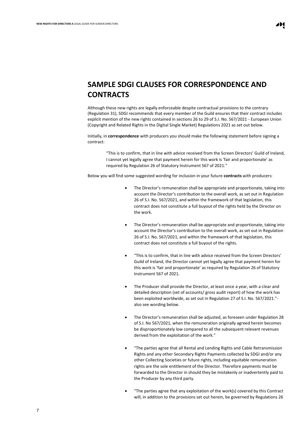# **SAMPLE SDGI CLAUSES FOR CORRESPONDENCE AND CONTRACTS**

Although these new rights are legally enforceable despite contractual provisions to the contrary (Regulation 31), SDGI recommends that every member of the Guild ensures that their contract includes explicit mention of the new rights contained in sections 26 to 29 of S.I. No. 567/2021 - European Union (Copyright and Related Rights in the Digital Single Market) Regulations 2021 as set out below.

Initially, in **correspondence** with producers you should make the following statement before signing a contract:

"This is to confirm, that in line with advice received from the Screen Directors' Guild of Ireland, I cannot yet legally agree that payment herein for this work is 'fair and proportionate' as required by Regulation 26 of Statutory Instrument 567 of 2021."

Below you will find some suggested wording for inclusion in your future **contracts** with producers:

- The Director's remuneration shall be appropriate and proportionate, taking into account the Director's contribution to the overall work, as set out in Regulation 26 of S.I. No. 567/2021, and within the framework of that legislation, this contract does not constitute a full buyout of the rights held by the Director on the work.
- The Director's remuneration shall be appropriate and proportionate, taking into account the Director's contribution to the overall work, as set out in Regulation 26 of S.I. No. 567/2021, and within the framework of that legislation, this contract does not constitute a full buyout of the rights.
- "This is to confirm, that in line with advice received from the Screen Directors' Guild of Ireland, the Director cannot yet legally agree that payment herein for this work is 'fair and proportionate' as required by Regulation 26 of Statutory Instrument 567 of 2021.
- The Producer shall provide the Director, at least once a year, with a clear and detailed description (set of accounts/ gross audit report) of how the work has been exploited worldwide, as set out in Regulation 27 of S.I. No. 567/2021." also see wording below.
- The Director's remuneration shall be adjusted, as foreseen under Regulation 28 of S.I. No 567/2021, when the remuneration originally agreed herein becomes be disproportionately low compared to all the subsequent relevant revenues derived from the exploitation of the work."
- "The parties agree that all Rental and Lending Rights and Cable Retransmission Rights and any other Secondary Rights Payments collected by SDGI and/or any other Collecting Societies or future rights, including equitable remuneration rights are the sole entitlement of the Director. Therefore payments must be forwarded to the Director in should they be mistakenly or inadvertently paid to the Producer by any third party.
- "The parties agree that any exploitation of the work(s) covered by this Contract will, in addition to the provisions set out herein, be governed by Regulations 26